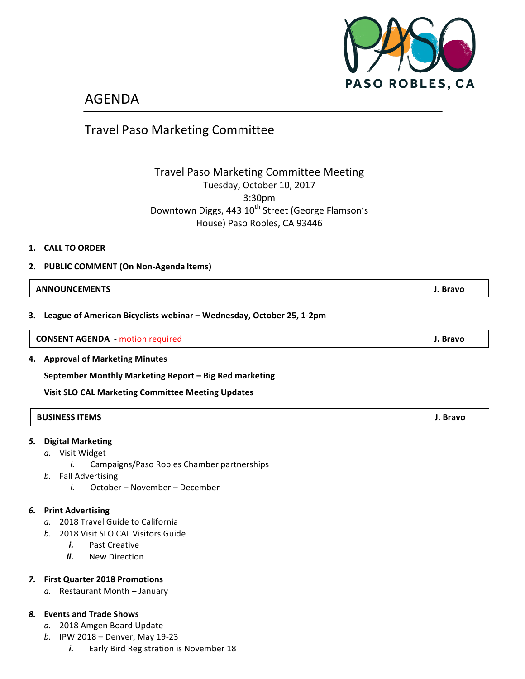

# AGENDA

## Travel Paso Marketing Committee

## Travel Paso Marketing Committee Meeting Tuesday, October 10, 2017 3:30pm Downtown Diggs, 443 10<sup>th</sup> Street (George Flamson's House) Paso Robles, CA 93446

#### **1. CALL TO ORDER**

#### **2. PUBLIC COMMENT (On Non-Agenda Items)**

#### **ANNOUNCEMENTS J. Bravo**

**3. League of American Bicyclists webinar – Wednesday, October 25, 1-2pm**

**CONSENT AGENDA** - motion required **J. Bravo J. Bravo** 

**4. Approval of Marketing Minutes**

**September Monthly Marketing Report – Big Red marketing** 

**Visit SLO CAL Marketing Committee Meeting Updates** 

### **BUSINESS ITEMS J. Bravo**

#### *5.* **Digital Marketing**

- a. Visit Widget
	- *i.* Campaigns/Paso Robles Chamber partnerships
- **b.** Fall Advertising
	- *i.* October November December

#### *6.* **Print Advertising**

- a. 2018 Travel Guide to California
- **b.** 2018 Visit SLO CAL Visitors Guide
	- *i.* Past Creative
	- *ii.* New Direction

#### *7.* **First Quarter 2018 Promotions**

a. Restaurant Month - January

#### *8.* **Events and Trade Shows**

- a. 2018 Amgen Board Update
- *b.* IPW 2018 Denver, May 19-23
	- *i.* Early Bird Registration is November 18